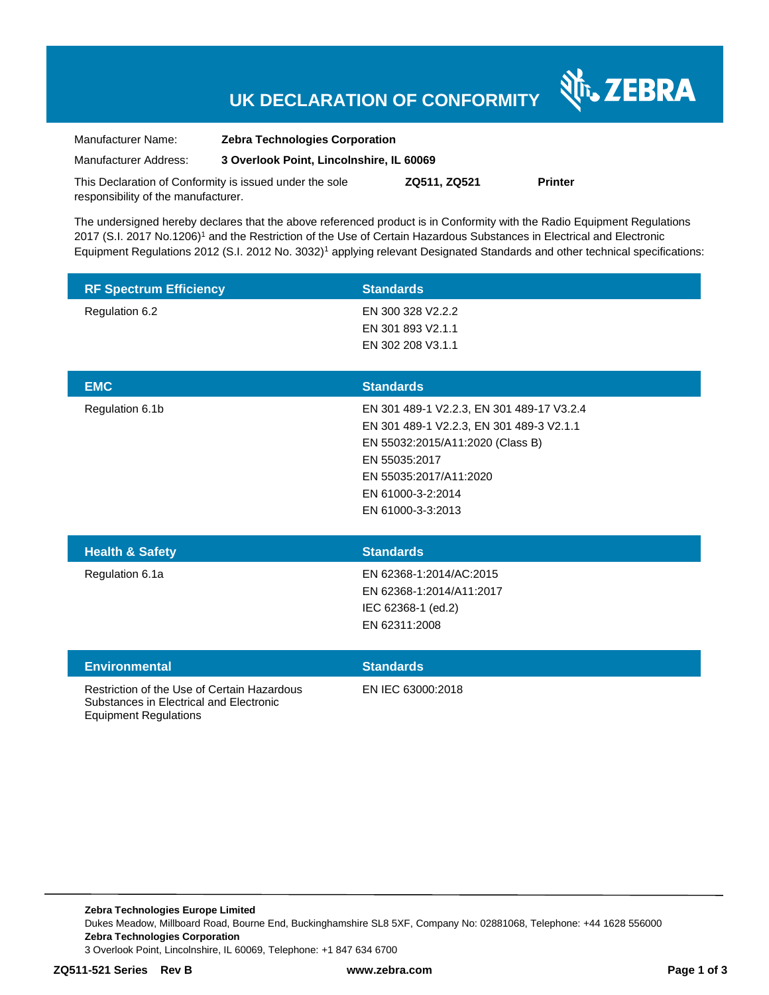# **UK DECLARATION OF CONFORMITY**

Nr. ZEBRA

| Manufacturer Name:                                      | <b>Zebra Technologies Corporation</b>    |              |                |
|---------------------------------------------------------|------------------------------------------|--------------|----------------|
| Manufacturer Address:                                   | 3 Overlook Point, Lincolnshire, IL 60069 |              |                |
| This Declaration of Conformity is issued under the sole |                                          | ZQ511, ZQ521 | <b>Printer</b> |

responsibility of the manufacturer.

The undersigned hereby declares that the above referenced product is in Conformity with the Radio Equipment Regulations 2017 (S.I. 2017 No.1206)<sup>1</sup> and the Restriction of the Use of Certain Hazardous Substances in Electrical and Electronic Equipment Regulations 2012 (S.I. 2012 No. 3032)<sup>1</sup> applying relevant Designated Standards and other technical specifications:

| <b>RF Spectrum Efficiency</b> | <b>Standards</b>  |
|-------------------------------|-------------------|
| Regulation 6.2                | EN 300 328 V2.2.2 |
|                               | EN 301 893 V2.1.1 |
|                               | EN 302 208 V3.1.1 |
|                               |                   |
|                               |                   |

| <b>EMC</b>      | <b>Standards</b>                          |  |
|-----------------|-------------------------------------------|--|
| Regulation 6.1b | EN 301 489-1 V2.2.3, EN 301 489-17 V3.2.4 |  |
|                 | EN 301 489-1 V2.2.3, EN 301 489-3 V2.1.1  |  |
|                 | EN 55032:2015/A11:2020 (Class B)          |  |
|                 | EN 55035:2017                             |  |
|                 | EN 55035:2017/A11:2020                    |  |
|                 | EN 61000-3-2:2014                         |  |
|                 | EN 61000-3-3:2013                         |  |
|                 |                                           |  |
|                 |                                           |  |

| <b>Health &amp; Safety</b> | <b>Standards</b>         |
|----------------------------|--------------------------|
| Regulation 6.1a            | EN 62368-1:2014/AC:2015  |
|                            | EN 62368-1:2014/A11:2017 |
|                            | IEC 62368-1 (ed.2)       |
|                            | EN 62311:2008            |
|                            |                          |

| <b>Environmental</b>                                                                                                   | <b>Standards</b>  |
|------------------------------------------------------------------------------------------------------------------------|-------------------|
| Restriction of the Use of Certain Hazardous<br>Substances in Electrical and Electronic<br><b>Equipment Regulations</b> | EN IEC 63000:2018 |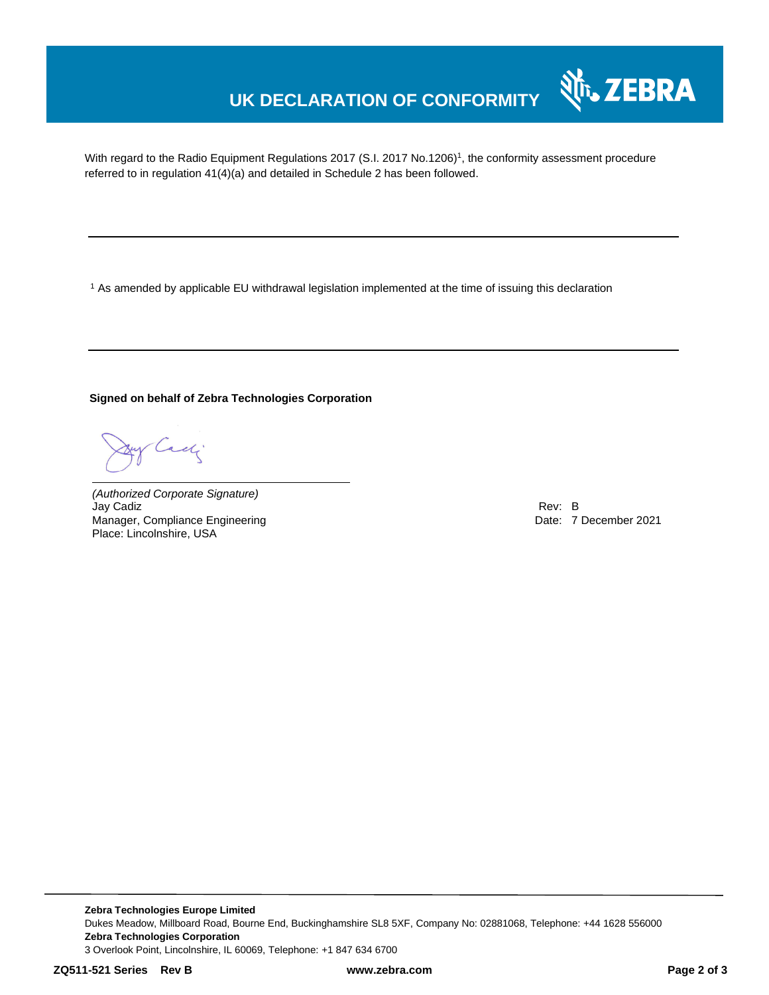### **UK DECLARATION OF CONFORMITY**

With regard to the Radio Equipment Regulations 2017 (S.I. 2017 No.1206)<sup>1</sup>, the conformity assessment procedure referred to in regulation 41(4)(a) and detailed in Schedule 2 has been followed.

<sup>1</sup> As amended by applicable EU withdrawal legislation implemented at the time of issuing this declaration

**Signed on behalf of Zebra Technologies Corporation**

Cach

*(Authorized Corporate Signature)* Jay Cadiz Rev: B Manager, Compliance Engineering **Date: 7 December 2021 Date: 7 December 2021** Place: Lincolnshire, USA

Nr. ZEBRA